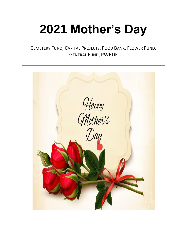## **2021 Mother's Day**

CEMETERY FUND, CAPITAL PROJECTS, FOOD BANK, FLOWER FUND, GENERAL FUND, PWRDF

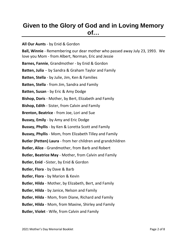## **Given to the Glory of God and in Loving Memory of…**

**All Our Aunts** - by Enid & Gordon **Ball, Winnie** - Remembering our dear mother who passed away July 23, 1993. We love you Mom - from Albert, Norman, Eric and Jessie **Barnes, Fannie**, Grandmother - by Enid & Gordon **Batten, Julia** - by Sandra & Graham Taylor and Family **Batten, Stella** - by Julie, Jim, Ken & Families **Batten, Stella** - from Jim, Sandra and Family **Batten, Susan** - by Eric & Amy Dodge **Bishop, Doris** - Mother, by Bert, Elizabeth and Family **Bishop, Edith** - Sister, from Calvin and Family **Brenton, Beatrice** - from Joe, Lori and Sue **Bussey, Emily** - by Amy and Eric Dodge **Bussey, Phyllis** - by Ken & Loretta Scott and Family **Bussey, Phyllis** - Mom, from Elizabeth Tilley and Family **Butler (Petten) Laura** - from her children and grandchildren **Butler, Alice** - Grandmother, from Barb and Robert **Butler, Beatrice May** - Mother, from Calvin and Family **Butler, Enid** -Sister, by Enid & Gordon **Butler, Flora** - by Dave & Barb **Butler, Flora** - by Marion & Kevin **Butler, Hilda** - Mother, by Elizabeth, Bert, and Family **Butler, Hilda** - by Janice, Nelson and Family **Butler, Hilda** - Mom, from Diane, Richard and Family **Butler, Hilda** - Mom, from Maxine, Shirley and Family **Butler, Violet** - Wife, from Calvin and Family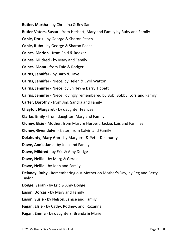**Butler, Martha** - by Christina & Rev Sam

**Butler-Vaters, Susan -** from Herbert, Mary and Family by Ruby and Family

**Cable, Doris** - by George & Sharon Peach

**Cable, Ruby** - by George & Sharon Peach

**Caines, Marion** - from Enid & Rodger

**Caines, Mildred** - by Mary and Family

**Caines, Mona** - from Enid & Rodger

**Cairns, Jennifer** - by Barb & Dave

**Cairns, Jennifer** - Niece, by Helen & Cyril Watton

**Cairns, Jennifer** - Niece, by Shirley & Barry Tippett

**Cairns, Jennifer** - Niece, lovingly remembered by Bob, Bobby, Lori and Family

**Carter, Dorothy** - from Jim, Sandra and Family

**Chaytor, Margaret** - by daughter Frances

**Clarke, Emily -** from daughter, Mary and Family

**Cluney, Elsie** - Mother, from Mary & Herbert, Jackie, Lois and Families

**Cluney, Gwendolyn** - Sister, from Calvin and Family

**Delahunty, Mary Ann** - by Margaret & Peter Delahunty

**Dawe, Annie Jane** - by Jean and Family

**Dawe, Mildred** - by Eric & Amy Dodge

**Dawe, Nellie** -by Marg & Gerald

**Dawe, Nellie** - by Joan and Family

**Delaney, Ruby** - Remembering our Mother on Mother's Day, by Reg and Betty Taylor

**Dodge, Sarah** - by Eric & Amy Dodge

**Eason, Dorcas** -by Mary and Family

**Eason, Susie** - by Nelson, Janice and Family

**Fagan, Elsie** - by Cathy, Rodney, and Roxanne

**Fagan, Emma** - by daughters, Brenda & Marie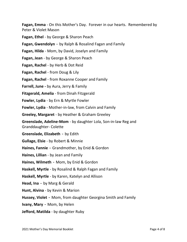**Fagan, Emma** - On this Mother's Day. Forever in our hearts. Remembered by Peter & Violet Mason

**Fagan, Ethel** - by George & Sharon Peach

**Fagan, Gwendolyn** - by Ralph & Rosalind Fagan and Family

**Fagan, Hilda** - Mom, by David, Joselyn and Family

**Fagan, Jean** - by George & Sharon Peach

**Fagan, Rachel** - by Herb & Dot Reid

**Fagan, Rachel** - from Doug & Lily

**Fagan, Rachel** - from Roxanne Cooper and Family

**Farrell, June -** by Aura, Jerry & Family

**Fitzgerald, Amelia** - from Dinah Fitzgerald

**Fowler, Lydia** - by Ern & Myrtle Fowler

**Fowler, Lydia** - Mother-in-law, from Calvin and Family

**Greeley, Margaret** - by Heather & Graham Greeley

**Greenslade, Adeline-Mom** - by daughter Lola, Son-in-law Reg and Granddaughter- Colette

**Greenslade, Elizabeth** - by Edith

**Gullage, Elsie** - by Robert & Minnie

**Haines, Fannie** - Grandmother, by Enid & Gordon

**Haines, Lillian** - by Jean and Family

**Haines, Wilmeth** - Mom, by Enid & Gordon

**Haskell, Myrtle** - by Rosalind & Ralph Fagan and Family

**Haskell, Myrtle** - by Karen, Katelyn and Allison

**Head, Ina** - by Marg & Gerald

**Hunt, Alvina** - by Kevin & Marion

**Hussey, Violet** - Mom, from daughter Georgina Smith and Family

**Ivany, Mary** - Mom, by Helen

**Jefford, Matilda** - by daughter Ruby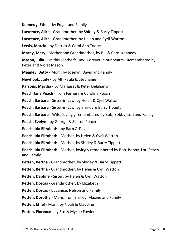**Kennedy, Ethel** - by Edgar and Family

**Lawrence, Alice** - Grandmother, by Shirley & Barry Tippett

**Lawrence, Alice** - Grandmother, by Helen and Cyril Watton

**Lewis, Marcia -** by Derrick & Carol Ann Toope

**Macey, Mary** - Mother and Grandmother, by Bill & Carol Kennedy

**Mason, Julia** - On this Mother's Day. Forever in our hearts. Remembered by Peter and Violet Mason

**Meaney, Betty** - Mom, by Joselyn, David and Family

**Newhook, Judy -** by Alf, Paula & Stephanie

**Parsons, Martha** - by Margaret & Peter Delahanty

**Peach Jane Peach** - from Furness & Caroline Peach

**Peach, Barbara** - Sister-in-Law, by Helen & Cyril Watton

**Peach, Barbara** - Sister-in-Law, by Shirley & Barry Tippett

**Peach, Barbara** - Wife, lovingly remembered by Bob, Bobby, Lori and Family

**Peach, Evelyn** - by George & Sharon Peach

**Peach, Ida Elizabeth** - by Barb & Dave

**Peach, Ida Elizabeth** - Mother, by Helen & Cyril Watton

**Peach, Ida Elizabeth** - Mother, by Shirley & Barry Tippett

**Peach, Ida Elizabeth** - Mother, lovingly remembered by Bob, Bobby, Lori Peach and Family

**Petten, Bertha** - Grandmother, by Shirley & Barry Tippett

**Petten, Bertha** - Grandmother, by Helen & Cyril Watton

**Petten, Daphne** - Sister, by Helen & Cyril Watton

**Petten, Dorcas** - Grandmother, by Elizabeth

**Petten, Dorcas** - by Janice, Nelson and Family

**Petten, Dorothy** - Mom, from Shirley, Maxine and Family

**Petten, Ethel** - Mom, by Noah & Claudine

**Petten, Florence** - by Ern & Myrtle Fowler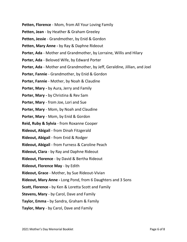- **Petten, Florence** Mom, from All Your Loving Family
- **Petten, Jean** by Heather & Graham Greeley
- **Petten, Jessie** Grandmother, by Enid & Gordon
- **Petten, Mary Anne -** by Ray & Daphne Rideout
- **Porter, Ada** Mother and Grandmother, by Lorraine, Willis and Hilary
- **Porter, Ada** Beloved Wife, by Edward Porter
- **Porter, Ada** Mother and Grandmother, by Jeff, Geraldine, Jillian, and Joel
- **Porter, Fannie** Grandmother, by Enid & Gordon
- **Porter, Fannie** Mother, by Noah & Claudine
- **Porter, Mary -** by Aura, Jerry and Family
- **Porter, Mary -** by Christina & Rev Sam
- **Porter, Mary** from Joe, Lori and Sue
- **Porter, Mary** Mom, by Noah and Claudine
- **Porter, Mary** Mom, by Enid & Gordon
- **Reid, Ruby & Sylvia** from Roxanne Cooper
- **Rideout, Abigail** from Dinah Fitzgerald
- **Rideout, Abigail** from Enid & Rodger
- **Rideout, Abigail** from Furness & Caroline Peach
- **Rideout, Clara** by Ray and Daphne Rideout
- **Rideout, Florence** by David & Bertha Rideout
- **Rideout, Florence May** by Edith
- **Rideout, Grace** Mother, by Sue Rideout-Vivian
- **Rideout, Mary Anne -** Long Pond, from 6 Daughters and 3 Sons
- **Scott, Florence -** by Ken & Loretta Scott and Family
- **Stevens, Mary** by Carol, Dave and Family
- **Taylor, Emma -** by Sandra, Graham & Family
- **Taylor, Mary** by Carol, Dave and Family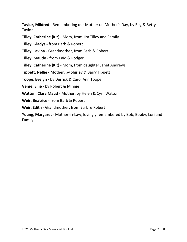**Taylor, Mildred** - Remembering our Mother on Mother's Day, by Reg & Betty Taylor

**Tilley, Catherine (Kit**) - Mom, from Jim Tilley and Family

**Tilley, Gladys -** from Barb & Robert

**Tilley, Lavina** - Grandmother, from Barb & Robert

**Tilley, Maude** - from Enid & Rodger

**Tilley, Catherine (Kit)** - Mom, from daughter Janet Andrews

**Tippett, Nellie** - Mother, by Shirley & Barry Tippett

**Toope, Evelyn -** by Derrick & Carol Ann Toope

**Verge, Ellie** - by Robert & Minnie

**Watton, Clara Maud** - Mother, by Helen & Cyril Watton

**Weir, Beatrice** - from Barb & Robert

**Weir, Edith** - Grandmother, from Barb & Robert

**Young, Margaret** - Mother-in-Law, lovingly remembered by Bob, Bobby, Lori and Family